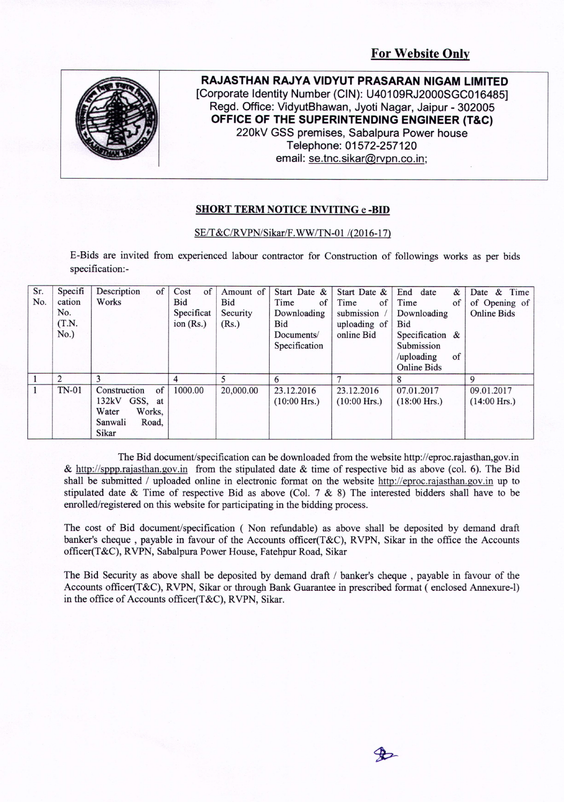

**RAJASTHAN RAJYA VIDYUT PRASARAN NIGAM LIMITED [Corporate Identity Number (CIN): U40109RJ2000SGC016485] Regd. Office: VidyutBhawan, Jyoti Nagar, Jaipur - 302005 OFFICE OF THE SUPERINTENDING ENGINEER (T&C) 220kV GSS premises, Sabalpura Power house Telephone: 01572-257120 email: se.tnc.sikar@rvpn.co.in;**

## **SHORT TERM NOTICE INVITING e -BID**

## SE/T&C/RVPN/Sikar/F. WW*ITN-O* 1 /(2016-17)

E-Bids are invited from experienced labour contractor for Construction of followings works as per bids specification: -

| Sr. | Specifi        | Description<br>of  | Cost<br>of  | Amount of | Start Date &   | Start Date &   | End date<br>$\&$   | Date & Time        |
|-----|----------------|--------------------|-------------|-----------|----------------|----------------|--------------------|--------------------|
| No. | cation         | Works              | Bid         | Bid       | Time<br>of     | Time<br>of     | Time<br>of         | of Opening of      |
|     | No.            |                    | Specificat  | Security  | Downloading    | submission     | Downloading        | <b>Online Bids</b> |
|     | (T.N.          |                    | ion $(Rs.)$ | (Rs.)     | Bid            | uploading of   | <b>Bid</b>         |                    |
|     | No.)           |                    |             |           | Documents/     | online Bid     | Specification $\&$ |                    |
|     |                |                    |             |           | Specification  |                | Submission         |                    |
|     |                |                    |             |           |                |                | /uploading<br>of   |                    |
|     |                |                    |             |           |                |                | <b>Online Bids</b> |                    |
|     | $\overline{2}$ |                    | 4           | 5         | 6              |                |                    | 9                  |
|     | <b>TN-01</b>   | of<br>Construction | 1000.00     | 20,000.00 | 23.12.2016     | 23.12.2016     | 07.01.2017         | 09.01.2017         |
|     |                | GSS, at<br>132kV   |             |           | $(10:00$ Hrs.) | $(10:00$ Hrs.) | $(18:00$ Hrs.)     | $(14:00$ Hrs.)     |
|     |                | Water<br>Works.    |             |           |                |                |                    |                    |
|     |                | Sanwali<br>Road.   |             |           |                |                |                    |                    |
|     |                | Sikar              |             |           |                |                |                    |                    |

The Bid document/specification can be downloaded from the website http://eproc.rajasthan,gov.in & http://sppp.rajasthan.gov.in from the stipulated date  $\&$  time of respective bid as above (col. 6). The Bid shall be submitted / uploaded online in electronic format on the website http://eproc.rajasthan.gov.in up to stipulated date  $\&$  Time of respective Bid as above (Col. 7  $\&$  8) The interested bidders shall have to be enrolled/registered on this website for participating in the bidding process.

The cost of Bid document/specification ( Non refundable) as above shall be deposited by demand draft banker's cheque, payable in favour of the Accounts officer(T&C), RVPN, Sikar in the office the Accounts officer(T&C), RVPN, Sabalpura Power House, Fatehpur Road, Sikar

The Bid Security as above shall be deposited by demand draft / banker's cheque , payable in favour of the Accounts officer(T&C), RVPN, Sikar or through Bank Guarantee in prescribed format ( enclosed Annexure-l) in the office of Accounts officer(T&C), RVPN, Sikar.

 $\bigoplus$